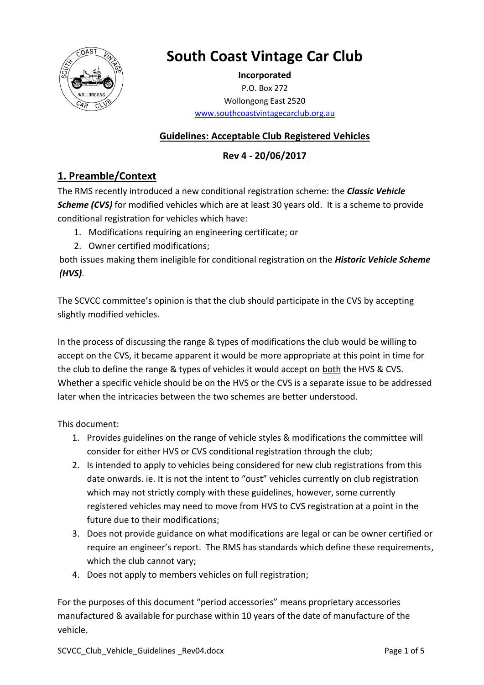

# **South Coast Vintage Car Club**

**Incorporated** P.O. Box 272 Wollongong East 2520 [www.southcoastvintagecarclub.org.au](http://www.southcoastvintagecarclub.org.au/)

#### **Guidelines: Acceptable Club Registered Vehicles**

#### **Rev 4 - 20/06/2017**

### **1. Preamble/Context**

The RMS recently introduced a new conditional registration scheme: the *Classic Vehicle*  **Scheme (CVS)** for modified vehicles which are at least 30 years old. It is a scheme to provide conditional registration for vehicles which have:

- 1. Modifications requiring an engineering certificate; or
- 2. Owner certified modifications;

both issues making them ineligible for conditional registration on the *Historic Vehicle Scheme (HVS)*.

The SCVCC committee's opinion is that the club should participate in the CVS by accepting slightly modified vehicles.

In the process of discussing the range & types of modifications the club would be willing to accept on the CVS, it became apparent it would be more appropriate at this point in time for the club to define the range & types of vehicles it would accept on both the HVS & CVS. Whether a specific vehicle should be on the HVS or the CVS is a separate issue to be addressed later when the intricacies between the two schemes are better understood.

This document:

- 1. Provides guidelines on the range of vehicle styles & modifications the committee will consider for either HVS or CVS conditional registration through the club;
- 2. Is intended to apply to vehicles being considered for new club registrations from this date onwards. ie. It is not the intent to "oust" vehicles currently on club registration which may not strictly comply with these guidelines, however, some currently registered vehicles may need to move from HVS to CVS registration at a point in the future due to their modifications;
- 3. Does not provide guidance on what modifications are legal or can be owner certified or require an engineer's report. The RMS has standards which define these requirements, which the club cannot vary;
- 4. Does not apply to members vehicles on full registration;

For the purposes of this document "period accessories" means proprietary accessories manufactured & available for purchase within 10 years of the date of manufacture of the vehicle.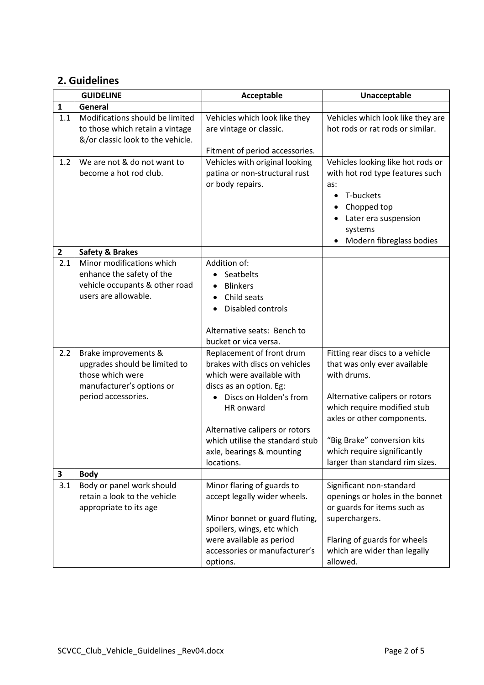## **2. Guidelines**

|              | <b>GUIDELINE</b>                                                                                                              | Acceptable                                                                                                                                                                                                                                                                             | Unacceptable                                                                                                                                                                                                                                                                   |
|--------------|-------------------------------------------------------------------------------------------------------------------------------|----------------------------------------------------------------------------------------------------------------------------------------------------------------------------------------------------------------------------------------------------------------------------------------|--------------------------------------------------------------------------------------------------------------------------------------------------------------------------------------------------------------------------------------------------------------------------------|
| $\mathbf{1}$ | General                                                                                                                       |                                                                                                                                                                                                                                                                                        |                                                                                                                                                                                                                                                                                |
| 1.1          | Modifications should be limited<br>to those which retain a vintage<br>&/or classic look to the vehicle.                       | Vehicles which look like they<br>are vintage or classic.<br>Fitment of period accessories.                                                                                                                                                                                             | Vehicles which look like they are<br>hot rods or rat rods or similar.                                                                                                                                                                                                          |
| 1.2          | We are not & do not want to<br>become a hot rod club.                                                                         | Vehicles with original looking<br>patina or non-structural rust<br>or body repairs.                                                                                                                                                                                                    | Vehicles looking like hot rods or<br>with hot rod type features such<br>as:<br>T-buckets<br>$\bullet$<br>Chopped top<br>Later era suspension<br>systems<br>Modern fibreglass bodies                                                                                            |
| $\mathbf{2}$ | <b>Safety &amp; Brakes</b>                                                                                                    |                                                                                                                                                                                                                                                                                        |                                                                                                                                                                                                                                                                                |
| 2.1          | Minor modifications which<br>enhance the safety of the<br>vehicle occupants & other road<br>users are allowable.              | Addition of:<br>Seatbelts<br>$\bullet$<br><b>Blinkers</b><br>$\bullet$<br>Child seats<br>Disabled controls<br>$\bullet$<br>Alternative seats: Bench to<br>bucket or vica versa.                                                                                                        |                                                                                                                                                                                                                                                                                |
| 2.2          | Brake improvements &<br>upgrades should be limited to<br>those which were<br>manufacturer's options or<br>period accessories. | Replacement of front drum<br>brakes with discs on vehicles<br>which were available with<br>discs as an option. Eg:<br>Discs on Holden's from<br>$\bullet$<br>HR onward<br>Alternative calipers or rotors<br>which utilise the standard stub<br>axle, bearings & mounting<br>locations. | Fitting rear discs to a vehicle<br>that was only ever available<br>with drums.<br>Alternative calipers or rotors<br>which require modified stub<br>axles or other components.<br>"Big Brake" conversion kits<br>which require significantly<br>larger than standard rim sizes. |
| 3            | <b>Body</b>                                                                                                                   |                                                                                                                                                                                                                                                                                        |                                                                                                                                                                                                                                                                                |
| 3.1          | Body or panel work should<br>retain a look to the vehicle<br>appropriate to its age                                           | Minor flaring of guards to<br>accept legally wider wheels.<br>Minor bonnet or guard fluting,<br>spoilers, wings, etc which<br>were available as period<br>accessories or manufacturer's<br>options.                                                                                    | Significant non-standard<br>openings or holes in the bonnet<br>or guards for items such as<br>superchargers.<br>Flaring of guards for wheels<br>which are wider than legally<br>allowed.                                                                                       |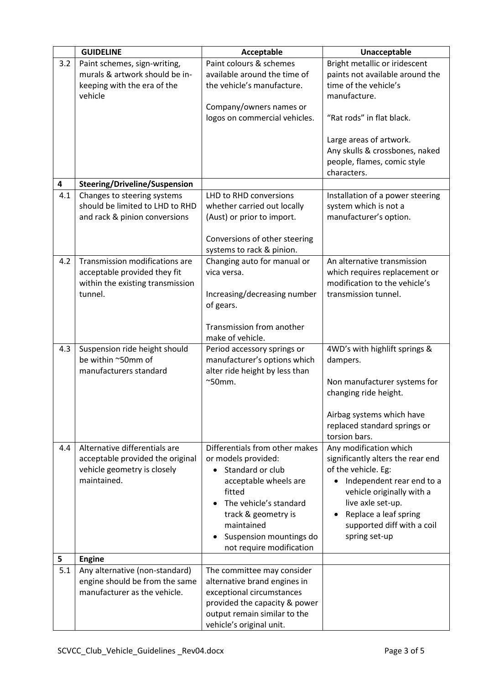|     | <b>GUIDELINE</b>                     | Acceptable                           | Unacceptable                           |
|-----|--------------------------------------|--------------------------------------|----------------------------------------|
| 3.2 | Paint schemes, sign-writing,         | Paint colours & schemes              | Bright metallic or iridescent          |
|     | murals & artwork should be in-       | available around the time of         | paints not available around the        |
|     | keeping with the era of the          | the vehicle's manufacture.           | time of the vehicle's                  |
|     | vehicle                              |                                      | manufacture.                           |
|     |                                      | Company/owners names or              |                                        |
|     |                                      | logos on commercial vehicles.        | "Rat rods" in flat black.              |
|     |                                      |                                      |                                        |
|     |                                      |                                      | Large areas of artwork.                |
|     |                                      |                                      | Any skulls & crossbones, naked         |
|     |                                      |                                      | people, flames, comic style            |
|     |                                      |                                      | characters.                            |
| 4   | <b>Steering/Driveline/Suspension</b> |                                      |                                        |
| 4.1 | Changes to steering systems          | LHD to RHD conversions               | Installation of a power steering       |
|     | should be limited to LHD to RHD      | whether carried out locally          | system which is not a                  |
|     | and rack & pinion conversions        | (Aust) or prior to import.           | manufacturer's option.                 |
|     |                                      |                                      |                                        |
|     |                                      | Conversions of other steering        |                                        |
|     |                                      | systems to rack & pinion.            |                                        |
| 4.2 | Transmission modifications are       | Changing auto for manual or          | An alternative transmission            |
|     | acceptable provided they fit         | vica versa.                          | which requires replacement or          |
|     | within the existing transmission     |                                      | modification to the vehicle's          |
|     | tunnel.                              | Increasing/decreasing number         | transmission tunnel.                   |
|     |                                      | of gears.                            |                                        |
|     |                                      |                                      |                                        |
|     |                                      | Transmission from another            |                                        |
|     |                                      | make of vehicle.                     |                                        |
| 4.3 | Suspension ride height should        | Period accessory springs or          | 4WD's with highlift springs &          |
|     | be within ~50mm of                   | manufacturer's options which         | dampers.                               |
|     | manufacturers standard               | alter ride height by less than       |                                        |
|     |                                      | $^{\sim}$ 50mm.                      | Non manufacturer systems for           |
|     |                                      |                                      | changing ride height.                  |
|     |                                      |                                      |                                        |
|     |                                      |                                      | Airbag systems which have              |
|     |                                      |                                      | replaced standard springs or           |
|     |                                      |                                      | torsion bars.                          |
| 4.4 | Alternative differentials are        | Differentials from other makes       | Any modification which                 |
|     | acceptable provided the original     | or models provided:                  | significantly alters the rear end      |
|     | vehicle geometry is closely          | Standard or club                     | of the vehicle. Eg:                    |
|     | maintained.                          | acceptable wheels are                | Independent rear end to a<br>$\bullet$ |
|     |                                      | fitted                               | vehicle originally with a              |
|     |                                      | The vehicle's standard               | live axle set-up.                      |
|     |                                      | track & geometry is                  | Replace a leaf spring                  |
|     |                                      | maintained                           | supported diff with a coil             |
|     |                                      | Suspension mountings do<br>$\bullet$ | spring set-up                          |
|     |                                      | not require modification             |                                        |
| 5   | <b>Engine</b>                        |                                      |                                        |
| 5.1 | Any alternative (non-standard)       | The committee may consider           |                                        |
|     | engine should be from the same       | alternative brand engines in         |                                        |
|     | manufacturer as the vehicle.         | exceptional circumstances            |                                        |
|     |                                      | provided the capacity & power        |                                        |
|     |                                      | output remain similar to the         |                                        |
|     |                                      | vehicle's original unit.             |                                        |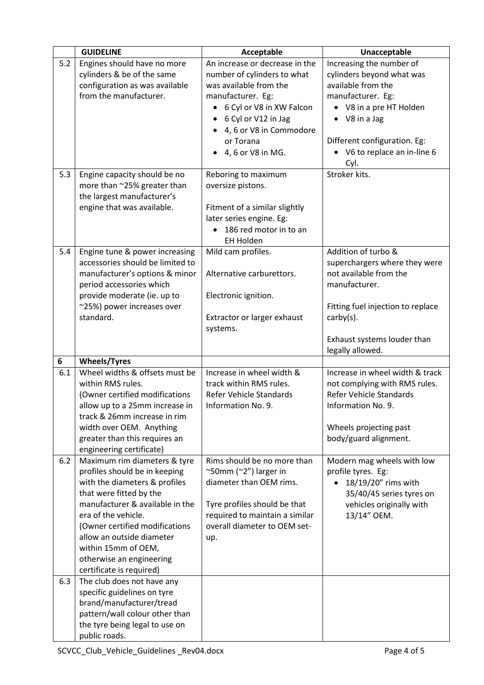|     | <b>GUIDELINE</b>                                         | Acceptable                          | Unacceptable                                     |
|-----|----------------------------------------------------------|-------------------------------------|--------------------------------------------------|
| 5.2 | Engines should have no more                              | An increase or decrease in the      | Increasing the number of                         |
|     | cylinders & be of the same                               | number of cylinders to what         | cylinders beyond what was                        |
|     | configuration as was available                           | was available from the              | available from the                               |
|     | from the manufacturer.                                   | manufacturer. Eg:                   | manufacturer. Eg:                                |
|     |                                                          | 6 Cyl or V8 in XW Falcon            | • V8 in a pre HT Holden                          |
|     |                                                          | 6 Cyl or V12 in Jag                 | $\bullet$ V8 in a Jag                            |
|     |                                                          | 4, 6 or V8 in Commodore             |                                                  |
|     |                                                          | or Torana                           | Different configuration. Eg:                     |
|     |                                                          | 4, 6 or V8 in MG.                   | V6 to replace an in-line 6                       |
|     |                                                          |                                     | Cyl.                                             |
| 5.3 | Engine capacity should be no                             | Reboring to maximum                 | Stroker kits.                                    |
|     | more than ~25% greater than                              | oversize pistons.                   |                                                  |
|     | the largest manufacturer's                               |                                     |                                                  |
|     | engine that was available.                               | Fitment of a similar slightly       |                                                  |
|     |                                                          | later series engine. Eg:            |                                                  |
|     |                                                          | 186 red motor in to an<br>$\bullet$ |                                                  |
|     |                                                          | EH Holden                           |                                                  |
| 5.4 | Engine tune & power increasing                           | Mild cam profiles.                  | Addition of turbo &                              |
|     | accessories should be limited to                         |                                     | superchargers where they were                    |
|     | manufacturer's options & minor                           | Alternative carburettors.           | not available from the                           |
|     | period accessories which                                 |                                     | manufacturer.                                    |
|     | provide moderate (ie. up to                              | Electronic ignition.                |                                                  |
|     | ~25%) power increases over                               |                                     | Fitting fuel injection to replace                |
|     | standard.                                                | Extractor or larger exhaust         | $\text{carby}(s)$ .                              |
|     |                                                          | systems.                            |                                                  |
|     |                                                          |                                     | Exhaust systems louder than                      |
|     |                                                          |                                     | legally allowed.                                 |
| 6   | <b>Wheels/Tyres</b>                                      |                                     |                                                  |
| 6.1 | Wheel widths & offsets must be                           | Increase in wheel width &           | Increase in wheel width & track                  |
|     | within RMS rules.                                        | track within RMS rules.             | not complying with RMS rules.                    |
|     | (Owner certified modifications                           | Refer Vehicle Standards             | <b>Refer Vehicle Standards</b>                   |
|     | allow up to a 25mm increase in                           | Information No. 9.                  | Information No. 9.                               |
|     | track & 26mm increase in rim                             |                                     |                                                  |
|     | width over OEM. Anything                                 |                                     | Wheels projecting past                           |
|     | greater than this requires an                            |                                     | body/guard alignment.                            |
| 6.2 | engineering certificate)<br>Maximum rim diameters & tyre | Rims should be no more than         |                                                  |
|     | profiles should be in keeping                            | ~50mm (~2") larger in               | Modern mag wheels with low<br>profile tyres. Eg: |
|     | with the diameters & profiles                            | diameter than OEM rims.             | 18/19/20" rims with                              |
|     | that were fitted by the                                  |                                     | 35/40/45 series tyres on                         |
|     | manufacturer & available in the                          | Tyre profiles should be that        | vehicles originally with                         |
|     | era of the vehicle.                                      | required to maintain a similar      | 13/14" OEM.                                      |
|     | (Owner certified modifications                           | overall diameter to OEM set-        |                                                  |
|     | allow an outside diameter                                | up.                                 |                                                  |
|     | within 15mm of OEM,                                      |                                     |                                                  |
|     | otherwise an engineering                                 |                                     |                                                  |
|     | certificate is required)                                 |                                     |                                                  |
| 6.3 | The club does not have any                               |                                     |                                                  |
|     | specific guidelines on tyre                              |                                     |                                                  |
|     | brand/manufacturer/tread                                 |                                     |                                                  |
|     | pattern/wall colour other than                           |                                     |                                                  |
|     | the tyre being legal to use on                           |                                     |                                                  |
|     | public roads.                                            |                                     |                                                  |